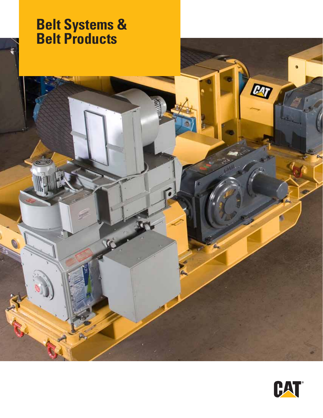# **Belt Systems & Belt Products**



ET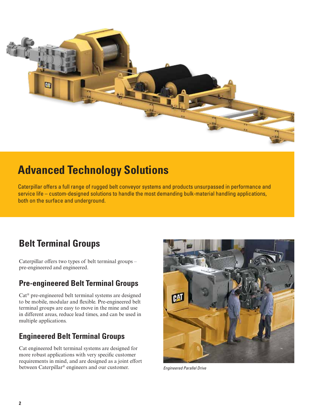

# **Advanced Technology Solutions**

Caterpillar offers a full range of rugged belt conveyor systems and products unsurpassed in performance and service life – custom-designed solutions to handle the most demanding bulk-material handling applications, both on the surface and underground.

# **Belt Terminal Groups**

Caterpillar offers two types of belt terminal groups – pre-engineered and engineered.

## **Pre-engineered Belt Terminal Groups**

Cat® pre-engineered belt terminal systems are designed to be mobile, modular and flexible. Pre-engineered belt terminal groups are easy to move in the mine and use in different areas, reduce lead times, and can be used in multiple applications.

### **Engineered Belt Terminal Groups**

Cat engineered belt terminal systems are designed for more robust applications with very specific customer requirements in mind, and are designed as a joint effort between Caterpillar® engineers and our customer. *Engineered Parallel Drive*

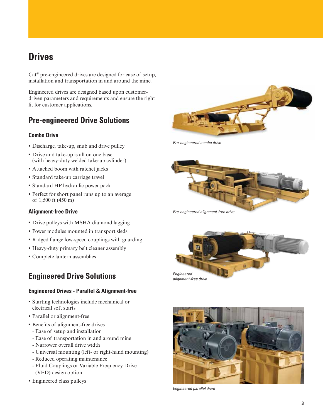# **Drives**

Cat® pre-engineered drives are designed for ease of setup, installation and transportation in and around the mine.

Engineered drives are designed based upon customerdriven parameters and requirements and ensure the right fit for customer applications.

### **Pre-engineered Drive Solutions**

#### **Combo Drive**

- **•** Discharge, take-up, snub and drive pulley
- **•** Drive and take-up is all on one base (with heavy-duty welded take-up cylinder)
- **•** Attached boom with ratchet jacks
- **•** Standard take-up carriage travel
- **•** Standard HP hydraulic power pack
- **•** Perfect for short panel runs up to an average of 1,500 ft (450 m)

#### **Alignment-free Drive**

- **•** Drive pulleys with MSHA diamond lagging
- **•** Power modules mounted in transport sleds
- **•** Ridged flange low-speed couplings with guarding
- **•** Heavy-duty primary belt cleaner assembly
- **•** Complete lantern assemblies

### **Engineered Drive Solutions**

#### **Engineered Drives - Parallel & Alignment-free**

- **•** Starting technologies include mechanical or electrical soft starts
- **•** Parallel or alignment-free
- **•** Benefits of alignment-free drives
	- Ease of setup and installation
	- Ease of transportation in and around mine
	- Narrower overall drive width
	- Universal mounting (left- or right-hand mounting)
	- Reduced operating maintenance
	- Fluid Couplings or Variable Frequency Drive (VFD) design option
- **•** Engineered class pulleys

F<sub>R</sub>

*Pre-engineered combo drive*



*Pre-engineered alignment-free drive*





*Engineered parallel drive*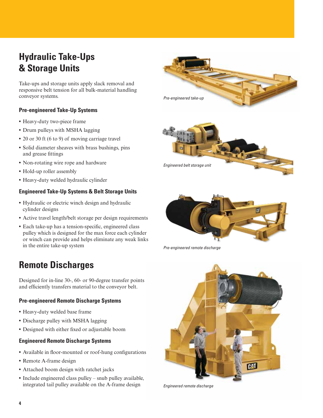# **Hydraulic Take-Ups & Storage Units**

Take-ups and storage units apply slack removal and responsive belt tension for all bulk-material handling conveyor systems.

#### **Pre-engineered Take-Up Systems**

- **•** Heavy-duty two-piece frame
- **•** Drum pulleys with MSHA lagging
- **•** 20 or 30 ft (6 to 9) of moving carriage travel
- **•** Solid diameter sheaves with brass bushings, pins and grease fittings
- **•** Non-rotating wire rope and hardware
- **•** Hold-up roller assembly
- **•** Heavy-duty welded hydraulic cylinder

#### **Engineered Take-Up Systems & Belt Storage Units**

- **•** Hydraulic or electric winch design and hydraulic cylinder designs
- **•** Active travel length/belt storage per design requirements
- **•** Each take-up has a tension-specific, engineered class pulley which is designed for the max force each cylinder or winch can provide and helps eliminate any weak links in the entire take-up system

# **Remote Discharges**

Designed for in-line 30-, 60- or 90-degree transfer points and efficiently transfers material to the conveyor belt.

#### **Pre-engineered Remote Discharge Systems**

- **•** Heavy-duty welded base frame
- **•** Discharge pulley with MSHA lagging
- **•** Designed with either fixed or adjustable boom

#### **Engineered Remote Discharge Systems**

- **•** Available in floor-mounted or roof-hung configurations
- **•** Remote A-frame design
- **•** Attached boom design with ratchet jacks
- **•** Include engineered class pulley snub pulley available, integrated tail pulley available on the A-frame design







*Pre-engineered remote discharge*



*Engineered remote discharge*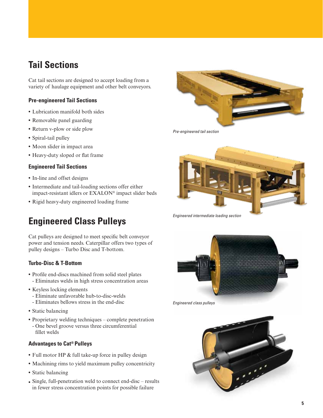# **Tail Sections**

Cat tail sections are designed to accept loading from a variety of haulage equipment and other belt conveyors.

#### **Pre-engineered Tail Sections**

- **•** Lubrication manifold both sides
- **•** Removable panel guarding
- **•** Return v-plow or side plow
- **•** Spiral-tail pulley
- **•** Moon slider in impact area
- **•** Heavy-duty sloped or flat frame

#### **Engineered Tail Sections**

- **•** In-line and offset designs
- **•** Intermediate and tail-loading sections offer either impact-resistant idlers or EXALON® impact slider beds
- **•** Rigid heavy-duty engineered loading frame

# **Engineered Class Pulleys**

Cat pulleys are designed to meet specific belt conveyor power and tension needs. Caterpillar offers two types of pulley designs – Turbo Disc and T-bottom.

#### **Turbo-Disc & T-Bottom**

- **•** Profile end-discs machined from solid steel plates - Eliminates welds in high stress concentration areas
- **•** Keyless locking elements
	- Eliminate unfavorable hub-to-disc-welds
	- Eliminates bellows stress in the end-disc
- **•** Static balancing
- **•** Proprietary welding techniques complete penetration
- One bevel groove versus three circumferential fillet welds

#### **Advantages to Cat® Pulleys**

- **•** Full motor HP & full take-up force in pulley design
- **•** Machining rims to yield maximum pulley concentricity
- **•** Static balancing
- Single, full-penetration weld to connect end-disc results in fewer stress concentration points for possible failure

*Pre-engineered tail section*



*Engineered intermediate loading section*



*Engineered class pulleys*

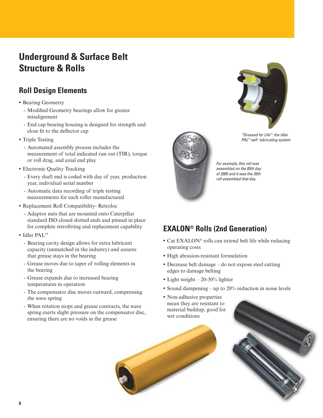# **Underground & Surface Belt Structure & Rolls**

### **Roll Design Elements**

- **•** Bearing Geometry
	- Modified Geometry bearings allow for greater misalignment
	- End cap bearing housing is designed for strength and close fit to the deflector cap
- **•** Triple Testing
	- Automated assembly process includes the measurement of total indicated run out (TIR), torque or roll drag, and axial end play
- **•** Electronic Quality Tracking
	- Every shaft end is coded with day of year, production year, individual serial number
	- Automatic data recording of triple testing measurements for each roller manufactured
- **•** Replacement Roll Compatibility- Retroloc
	- Adaptor nuts that are mounted onto Caterpillar standard ISO closed slotted ends and pinned in place for complete retrofitting and replacement capability
- **•** Idler PAL™
	- Bearing cavity design allows for extra lubricant capacity (unmatched in the industry) and assures that grease stays in the bearing
	- Grease moves due to taper of rolling elements in the bearing
	- Grease expands due to increased bearing temperatures in operation
	- The compensator disc moves outward, compressing the wave spring
	- When rotation stops and grease contracts, the wave spring exerts slight pressure on the compensator disc, ensuring there are no voids in the grease



*"Greased for Life": the Idler PAL™ self- lubricating system*

*For example, this roll was assembled on the 85th day of 2005 and it was the 35th roll assembled that day.* 

# **EXALON® Rolls (2nd Generation)**

- **•** Cat EXALON® rolls can extend belt life while reducing operating costs
- **•** High abrasion-resistant formulation
- **•** Decrease belt damage do not expose steel cutting edges to damage belting
- **•** Light weight 20-30% lighter
- **•** Sound dampening up to 20% reduction in noise levels
- **•** Non-adhesive properties mean they are resistant to material buildup, good for wet conditions

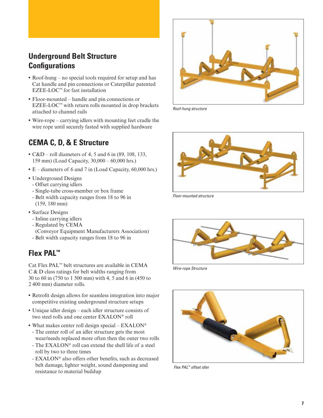### **Underground Belt Structure Configurations**

- **•** Roof-hung no special tools required for setup and has Cat handle and pin connections or Caterpillar patented EZEE-LOC™ for fast installation
- **•** Floor-mounted handle and pin connections or EZEE-LOC™ with return rolls mounted in drop brackets attached to channel rails
- **•** Wire-rope carrying idlers with mounting feet cradle the wire rope until securely fasted with supplied hardware

### **CEMA C, D, & E Structure**

- **•** C&D roll diameters of 4, 5 and 6 in (89, 108, 133, 159 mm) (Load Capacity, 30,000 – 60,000 hrs.)
- **•** E diameters of 6 and 7 in (Load Capacity, 60,000 hrs.)
- **•** Underground Designs
- Offset carrying idlers
- Single-tube cross-member or box frame
- Belt width capacity ranges from 18 to 96 in (159, 180 mm)
- **•** Surface Designs
	- Inline carrying idlers
	- Regulated by CEMA (Conveyor Equipment Manufacturers Association)
- Belt width capacity ranges from 18 to 96 in

### **Flex PAL™**

Cat Flex PAL™ belt structures are available in CEMA C & D class ratings for belt widths ranging from 30 to 60 in (750 to 1 500 mm) with 4, 5 and 6 in (450 to 2 400 mm) diameter rolls.

- **•** Retrofit design allows for seamless integration into major competitive existing underground structure setups
- **•** Unique idler design each idler structure consists of two steel rolls and one center EXALON® roll
- What makes center roll design special EXALON<sup>®</sup>
- The center roll of an idler structure gets the most wear/needs replaced more often then the outer two rolls
- The EXALON® roll can extend the shell life of a steel roll by two to three times
- EXALON® also offers other benefits, such as decreased belt damage, lighter weight, sound dampening and resistance to material buildup



*Roof-hung structure*



*Floor-mounted structure*



*Wire-rope Structure*



 *Flex PAL™ offset idler*